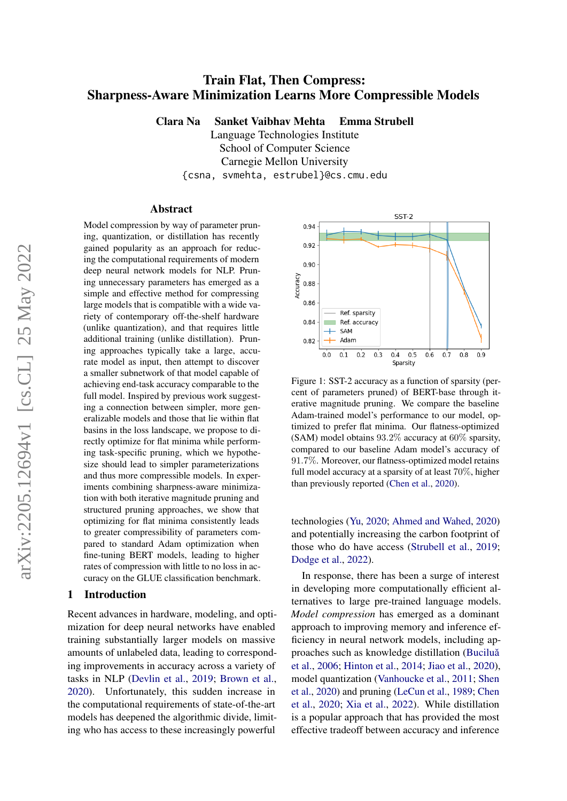# Train Flat, Then Compress: Sharpness-Aware Minimization Learns More Compressible Models

Clara Na Sanket Vaibhav Mehta Emma Strubell

Language Technologies Institute School of Computer Science Carnegie Mellon University {csna, svmehta, estrubel}@cs.cmu.edu

#### Abstract

Model compression by way of parameter pruning, quantization, or distillation has recently gained popularity as an approach for reducing the computational requirements of modern deep neural network models for NLP. Pruning unnecessary parameters has emerged as a simple and effective method for compressing large models that is compatible with a wide variety of contemporary off-the-shelf hardware (unlike quantization), and that requires little additional training (unlike distillation). Pruning approaches typically take a large, accurate model as input, then attempt to discover a smaller subnetwork of that model capable of achieving end-task accuracy comparable to the full model. Inspired by previous work suggesting a connection between simpler, more generalizable models and those that lie within flat basins in the loss landscape, we propose to directly optimize for flat minima while performing task-specific pruning, which we hypothesize should lead to simpler parameterizations and thus more compressible models. In experiments combining sharpness-aware minimization with both iterative magnitude pruning and structured pruning approaches, we show that optimizing for flat minima consistently leads to greater compressibility of parameters compared to standard Adam optimization when fine-tuning BERT models, leading to higher rates of compression with little to no loss in accuracy on the GLUE classification benchmark.

#### 1 Introduction

Recent advances in hardware, modeling, and optimization for deep neural networks have enabled training substantially larger models on massive amounts of unlabeled data, leading to corresponding improvements in accuracy across a variety of tasks in NLP [\(Devlin et al.,](#page-8-0) [2019;](#page-8-0) [Brown et al.,](#page-8-1) [2020\)](#page-8-1). Unfortunately, this sudden increase in the computational requirements of state-of-the-art models has deepened the algorithmic divide, limiting who has access to these increasingly powerful



Figure 1: SST-2 accuracy as a function of sparsity (percent of parameters pruned) of BERT-base through iterative magnitude pruning. We compare the baseline Adam-trained model's performance to our model, optimized to prefer flat minima. Our flatness-optimized (SAM) model obtains 93.2% accuracy at 60% sparsity, compared to our baseline Adam model's accuracy of 91.7%. Moreover, our flatness-optimized model retains full model accuracy at a sparsity of at least 70%, higher than previously reported [\(Chen et al.,](#page-8-2) [2020\)](#page-8-2).

technologies [\(Yu,](#page-10-0) [2020;](#page-10-0) [Ahmed and Wahed,](#page-8-3) [2020\)](#page-8-3) and potentially increasing the carbon footprint of those who do have access [\(Strubell et al.,](#page-10-1) [2019;](#page-10-1) [Dodge et al.,](#page-8-4) [2022\)](#page-8-4).

In response, there has been a surge of interest in developing more computationally efficient alternatives to large pre-trained language models. *Model compression* has emerged as a dominant approach to improving memory and inference efficiency in neural network models, including approaches such as knowledge distillation (Buciluă [et al.,](#page-8-5) [2006;](#page-8-5) [Hinton et al.,](#page-9-0) [2014;](#page-9-0) [Jiao et al.,](#page-9-1) [2020\)](#page-9-1), model quantization [\(Vanhoucke et al.,](#page-10-2) [2011;](#page-10-2) [Shen](#page-9-2) [et al.,](#page-9-2) [2020\)](#page-9-2) and pruning [\(LeCun et al.,](#page-9-3) [1989;](#page-9-3) [Chen](#page-8-2) [et al.,](#page-8-2) [2020;](#page-8-2) [Xia et al.,](#page-10-3) [2022\)](#page-10-3). While distillation is a popular approach that has provided the most effective tradeoff between accuracy and inference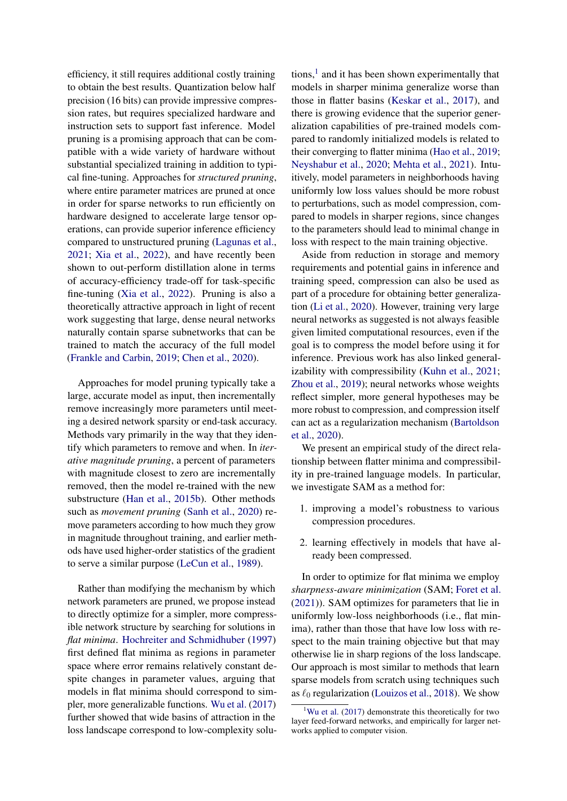efficiency, it still requires additional costly training to obtain the best results. Quantization below half precision (16 bits) can provide impressive compression rates, but requires specialized hardware and instruction sets to support fast inference. Model pruning is a promising approach that can be compatible with a wide variety of hardware without substantial specialized training in addition to typical fine-tuning. Approaches for *structured pruning*, where entire parameter matrices are pruned at once in order for sparse networks to run efficiently on hardware designed to accelerate large tensor operations, can provide superior inference efficiency compared to unstructured pruning [\(Lagunas et al.,](#page-9-4) [2021;](#page-9-4) [Xia et al.,](#page-10-3) [2022\)](#page-10-3), and have recently been shown to out-perform distillation alone in terms of accuracy-efficiency trade-off for task-specific fine-tuning [\(Xia et al.,](#page-10-3) [2022\)](#page-10-3). Pruning is also a theoretically attractive approach in light of recent work suggesting that large, dense neural networks naturally contain sparse subnetworks that can be trained to match the accuracy of the full model [\(Frankle and Carbin,](#page-8-6) [2019;](#page-8-6) [Chen et al.,](#page-8-2) [2020\)](#page-8-2).

Approaches for model pruning typically take a large, accurate model as input, then incrementally remove increasingly more parameters until meeting a desired network sparsity or end-task accuracy. Methods vary primarily in the way that they identify which parameters to remove and when. In *iterative magnitude pruning*, a percent of parameters with magnitude closest to zero are incrementally removed, then the model re-trained with the new substructure [\(Han et al.,](#page-9-5) [2015b\)](#page-9-5). Other methods such as *movement pruning* [\(Sanh et al.,](#page-9-6) [2020\)](#page-9-6) remove parameters according to how much they grow in magnitude throughout training, and earlier methods have used higher-order statistics of the gradient to serve a similar purpose [\(LeCun et al.,](#page-9-3) [1989\)](#page-9-3).

Rather than modifying the mechanism by which network parameters are pruned, we propose instead to directly optimize for a simpler, more compressible network structure by searching for solutions in *flat minima*. [Hochreiter and Schmidhuber](#page-9-7) [\(1997\)](#page-9-7) first defined flat minima as regions in parameter space where error remains relatively constant despite changes in parameter values, arguing that models in flat minima should correspond to simpler, more generalizable functions. [Wu et al.](#page-10-4) [\(2017\)](#page-10-4) further showed that wide basins of attraction in the loss landscape correspond to low-complexity solu-

tions,<sup>[1](#page-1-0)</sup> and it has been shown experimentally that models in sharper minima generalize worse than those in flatter basins [\(Keskar et al.,](#page-9-8) [2017\)](#page-9-8), and there is growing evidence that the superior generalization capabilities of pre-trained models compared to randomly initialized models is related to their converging to flatter minima [\(Hao et al.,](#page-9-9) [2019;](#page-9-9) [Neyshabur et al.,](#page-9-10) [2020;](#page-9-10) [Mehta et al.,](#page-9-11) [2021\)](#page-9-11). Intuitively, model parameters in neighborhoods having uniformly low loss values should be more robust to perturbations, such as model compression, compared to models in sharper regions, since changes to the parameters should lead to minimal change in loss with respect to the main training objective.

Aside from reduction in storage and memory requirements and potential gains in inference and training speed, compression can also be used as part of a procedure for obtaining better generalization [\(Li et al.,](#page-9-12) [2020\)](#page-9-12). However, training very large neural networks as suggested is not always feasible given limited computational resources, even if the goal is to compress the model before using it for inference. Previous work has also linked generalizability with compressibility [\(Kuhn et al.,](#page-9-13) [2021;](#page-9-13) [Zhou et al.,](#page-10-5) [2019\)](#page-10-5); neural networks whose weights reflect simpler, more general hypotheses may be more robust to compression, and compression itself can act as a regularization mechanism [\(Bartoldson](#page-8-7) [et al.,](#page-8-7) [2020\)](#page-8-7).

We present an empirical study of the direct relationship between flatter minima and compressibility in pre-trained language models. In particular, we investigate SAM as a method for:

- 1. improving a model's robustness to various compression procedures.
- 2. learning effectively in models that have already been compressed.

In order to optimize for flat minima we employ *sharpness-aware minimization* (SAM; [Foret et al.](#page-8-8) [\(2021\)](#page-8-8)). SAM optimizes for parameters that lie in uniformly low-loss neighborhoods (i.e., flat minima), rather than those that have low loss with respect to the main training objective but that may otherwise lie in sharp regions of the loss landscape. Our approach is most similar to methods that learn sparse models from scratch using techniques such as  $\ell_0$  regularization [\(Louizos et al.,](#page-9-14) [2018\)](#page-9-14). We show

<span id="page-1-0"></span><sup>&</sup>lt;sup>1</sup>[Wu et al.](#page-10-4)  $(2017)$  demonstrate this theoretically for two layer feed-forward networks, and empirically for larger networks applied to computer vision.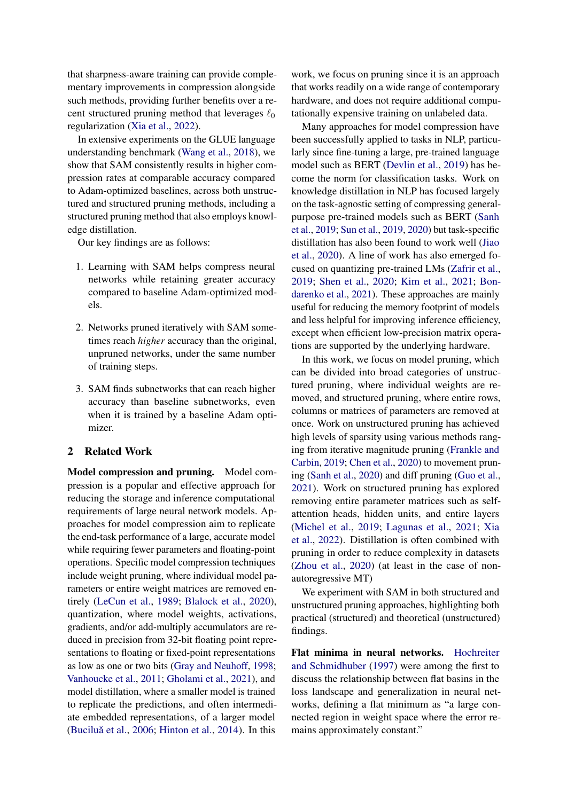that sharpness-aware training can provide complementary improvements in compression alongside such methods, providing further benefits over a recent structured pruning method that leverages  $\ell_0$ regularization [\(Xia et al.,](#page-10-3) [2022\)](#page-10-3).

In extensive experiments on the GLUE language understanding benchmark [\(Wang et al.,](#page-10-6) [2018\)](#page-10-6), we show that SAM consistently results in higher compression rates at comparable accuracy compared to Adam-optimized baselines, across both unstructured and structured pruning methods, including a structured pruning method that also employs knowledge distillation.

Our key findings are as follows:

- 1. Learning with SAM helps compress neural networks while retaining greater accuracy compared to baseline Adam-optimized models.
- 2. Networks pruned iteratively with SAM sometimes reach *higher* accuracy than the original, unpruned networks, under the same number of training steps.
- 3. SAM finds subnetworks that can reach higher accuracy than baseline subnetworks, even when it is trained by a baseline Adam optimizer.

#### 2 Related Work

Model compression and pruning. Model compression is a popular and effective approach for reducing the storage and inference computational requirements of large neural network models. Approaches for model compression aim to replicate the end-task performance of a large, accurate model while requiring fewer parameters and floating-point operations. Specific model compression techniques include weight pruning, where individual model parameters or entire weight matrices are removed entirely [\(LeCun et al.,](#page-9-3) [1989;](#page-9-3) [Blalock et al.,](#page-8-9) [2020\)](#page-8-9), quantization, where model weights, activations, gradients, and/or add-multiply accumulators are reduced in precision from 32-bit floating point representations to floating or fixed-point representations as low as one or two bits [\(Gray and Neuhoff,](#page-8-10) [1998;](#page-8-10) [Vanhoucke et al.,](#page-10-2) [2011;](#page-10-2) [Gholami et al.,](#page-8-11) [2021\)](#page-8-11), and model distillation, where a smaller model is trained to replicate the predictions, and often intermediate embedded representations, of a larger model (Buciluă et al.,  $2006$ ; [Hinton et al.,](#page-9-0)  $2014$ ). In this

work, we focus on pruning since it is an approach that works readily on a wide range of contemporary hardware, and does not require additional computationally expensive training on unlabeled data.

Many approaches for model compression have been successfully applied to tasks in NLP, particularly since fine-tuning a large, pre-trained language model such as BERT [\(Devlin et al.,](#page-8-0) [2019\)](#page-8-0) has become the norm for classification tasks. Work on knowledge distillation in NLP has focused largely on the task-agnostic setting of compressing generalpurpose pre-trained models such as BERT [\(Sanh](#page-9-15) [et al.,](#page-9-15) [2019;](#page-9-15) [Sun et al.,](#page-10-7) [2019,](#page-10-7) [2020\)](#page-10-8) but task-specific distillation has also been found to work well [\(Jiao](#page-9-1) [et al.,](#page-9-1) [2020\)](#page-9-1). A line of work has also emerged focused on quantizing pre-trained LMs [\(Zafrir et al.,](#page-10-9) [2019;](#page-10-9) [Shen et al.,](#page-9-2) [2020;](#page-9-2) [Kim et al.,](#page-9-16) [2021;](#page-9-16) [Bon](#page-8-12)[darenko et al.,](#page-8-12) [2021\)](#page-8-12). These approaches are mainly useful for reducing the memory footprint of models and less helpful for improving inference efficiency, except when efficient low-precision matrix operations are supported by the underlying hardware.

In this work, we focus on model pruning, which can be divided into broad categories of unstructured pruning, where individual weights are removed, and structured pruning, where entire rows, columns or matrices of parameters are removed at once. Work on unstructured pruning has achieved high levels of sparsity using various methods ranging from iterative magnitude pruning [\(Frankle and](#page-8-6) [Carbin,](#page-8-6) [2019;](#page-8-6) [Chen et al.,](#page-8-2) [2020\)](#page-8-2) to movement pruning [\(Sanh et al.,](#page-9-6) [2020\)](#page-9-6) and diff pruning [\(Guo et al.,](#page-8-13) [2021\)](#page-8-13). Work on structured pruning has explored removing entire parameter matrices such as selfattention heads, hidden units, and entire layers [\(Michel et al.,](#page-9-17) [2019;](#page-9-17) [Lagunas et al.,](#page-9-4) [2021;](#page-9-4) [Xia](#page-10-3) [et al.,](#page-10-3) [2022\)](#page-10-3). Distillation is often combined with pruning in order to reduce complexity in datasets [\(Zhou et al.,](#page-10-10) [2020\)](#page-10-10) (at least in the case of nonautoregressive MT)

We experiment with SAM in both structured and unstructured pruning approaches, highlighting both practical (structured) and theoretical (unstructured) findings.

Flat minima in neural networks. [Hochreiter](#page-9-7) [and Schmidhuber](#page-9-7) [\(1997\)](#page-9-7) were among the first to discuss the relationship between flat basins in the loss landscape and generalization in neural networks, defining a flat minimum as "a large connected region in weight space where the error remains approximately constant."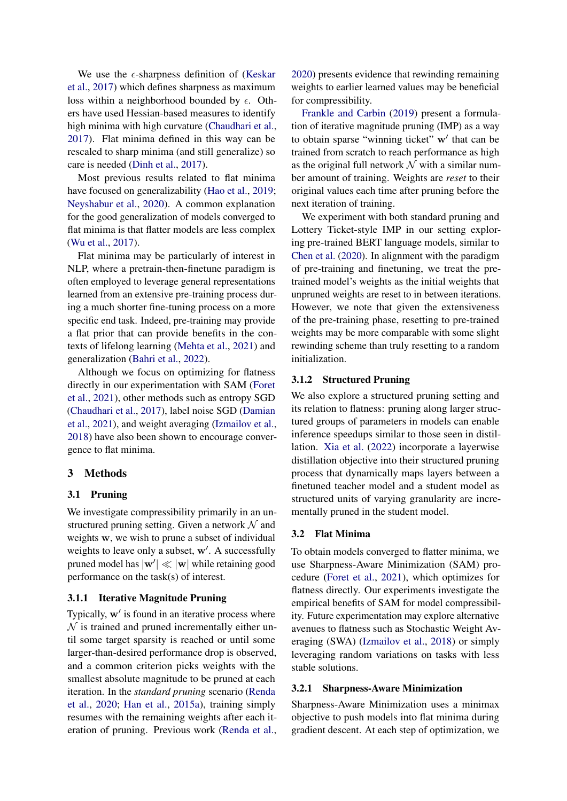We use the  $\epsilon$ -sharpness definition of [\(Keskar](#page-9-8) [et al.,](#page-9-8) [2017\)](#page-9-8) which defines sharpness as maximum loss within a neighborhood bounded by  $\epsilon$ . Others have used Hessian-based measures to identify high minima with high curvature [\(Chaudhari et al.,](#page-8-14) [2017\)](#page-8-14). Flat minima defined in this way can be rescaled to sharp minima (and still generalize) so care is needed [\(Dinh et al.,](#page-8-15) [2017\)](#page-8-15).

Most previous results related to flat minima have focused on generalizability [\(Hao et al.,](#page-9-9) [2019;](#page-9-9) [Neyshabur et al.,](#page-9-10) [2020\)](#page-9-10). A common explanation for the good generalization of models converged to flat minima is that flatter models are less complex [\(Wu et al.,](#page-10-4) [2017\)](#page-10-4).

Flat minima may be particularly of interest in NLP, where a pretrain-then-finetune paradigm is often employed to leverage general representations learned from an extensive pre-training process during a much shorter fine-tuning process on a more specific end task. Indeed, pre-training may provide a flat prior that can provide benefits in the contexts of lifelong learning [\(Mehta et al.,](#page-9-11) [2021\)](#page-9-11) and generalization [\(Bahri et al.,](#page-8-16) [2022\)](#page-8-16).

Although we focus on optimizing for flatness directly in our experimentation with SAM [\(Foret](#page-8-8) [et al.,](#page-8-8) [2021\)](#page-8-8), other methods such as entropy SGD [\(Chaudhari et al.,](#page-8-14) [2017\)](#page-8-14), label noise SGD [\(Damian](#page-8-17) [et al.,](#page-8-17) [2021\)](#page-8-17), and weight averaging [\(Izmailov et al.,](#page-9-18) [2018\)](#page-9-18) have also been shown to encourage convergence to flat minima.

# 3 Methods

### 3.1 Pruning

We investigate compressibility primarily in an unstructured pruning setting. Given a network  $\mathcal N$  and weights w, we wish to prune a subset of individual weights to leave only a subset, w'. A successfully pruned model has  $|\mathbf{w}'| \ll |\mathbf{w}|$  while retaining good performance on the task(s) of interest.

# 3.1.1 Iterative Magnitude Pruning

Typically,  $\mathbf{w}'$  is found in an iterative process where  $\mathcal N$  is trained and pruned incrementally either until some target sparsity is reached or until some larger-than-desired performance drop is observed, and a common criterion picks weights with the smallest absolute magnitude to be pruned at each iteration. In the *standard pruning* scenario [\(Renda](#page-9-19) [et al.,](#page-9-19) [2020;](#page-9-19) [Han et al.,](#page-9-20) [2015a\)](#page-9-20), training simply resumes with the remaining weights after each iteration of pruning. Previous work [\(Renda et al.,](#page-9-19) [2020\)](#page-9-19) presents evidence that rewinding remaining weights to earlier learned values may be beneficial for compressibility.

[Frankle and Carbin](#page-8-6) [\(2019\)](#page-8-6) present a formulation of iterative magnitude pruning (IMP) as a way to obtain sparse "winning ticket" w' that can be trained from scratch to reach performance as high as the original full network  $\mathcal N$  with a similar number amount of training. Weights are *reset* to their original values each time after pruning before the next iteration of training.

We experiment with both standard pruning and Lottery Ticket-style IMP in our setting exploring pre-trained BERT language models, similar to [Chen et al.](#page-8-2) [\(2020\)](#page-8-2). In alignment with the paradigm of pre-training and finetuning, we treat the pretrained model's weights as the initial weights that unpruned weights are reset to in between iterations. However, we note that given the extensiveness of the pre-training phase, resetting to pre-trained weights may be more comparable with some slight rewinding scheme than truly resetting to a random initialization.

# 3.1.2 Structured Pruning

We also explore a structured pruning setting and its relation to flatness: pruning along larger structured groups of parameters in models can enable inference speedups similar to those seen in distillation. [Xia et al.](#page-10-3) [\(2022\)](#page-10-3) incorporate a layerwise distillation objective into their structured pruning process that dynamically maps layers between a finetuned teacher model and a student model as structured units of varying granularity are incrementally pruned in the student model.

### 3.2 Flat Minima

To obtain models converged to flatter minima, we use Sharpness-Aware Minimization (SAM) procedure [\(Foret et al.,](#page-8-8) [2021\)](#page-8-8), which optimizes for flatness directly. Our experiments investigate the empirical benefits of SAM for model compressibility. Future experimentation may explore alternative avenues to flatness such as Stochastic Weight Averaging (SWA) [\(Izmailov et al.,](#page-9-18) [2018\)](#page-9-18) or simply leveraging random variations on tasks with less stable solutions.

#### 3.2.1 Sharpness-Aware Minimization

Sharpness-Aware Minimization uses a minimax objective to push models into flat minima during gradient descent. At each step of optimization, we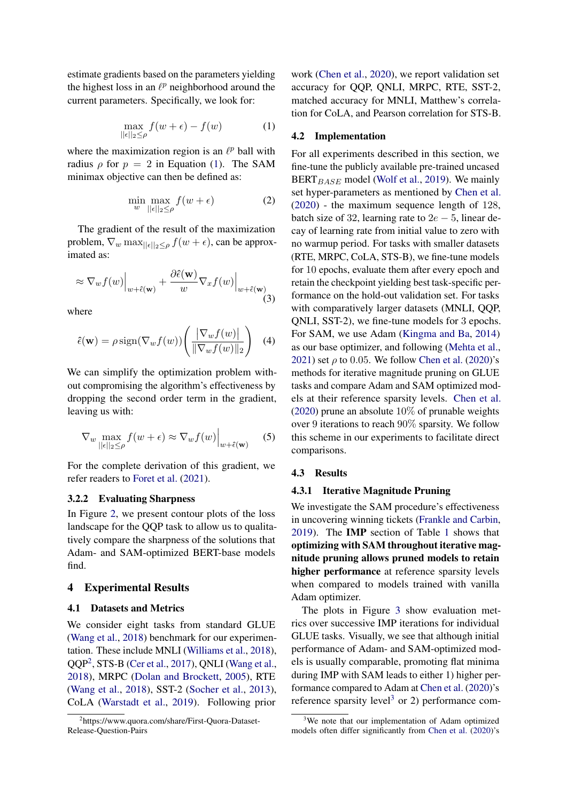<span id="page-4-0"></span>estimate gradients based on the parameters yielding the highest loss in an  $\ell^p$  neighborhood around the current parameters. Specifically, we look for:

$$
\max_{||\epsilon||_2 \le \rho} f(w + \epsilon) - f(w) \tag{1}
$$

where the maximization region is an  $\ell^p$  ball with radius  $\rho$  for  $p = 2$  in Equation [\(1\)](#page-4-0). The SAM minimax objective can then be defined as:

$$
\min_{w} \max_{||\epsilon||_2 \le \rho} f(w + \epsilon) \tag{2}
$$

The gradient of the result of the maximization problem,  $\nabla_w \max_{\|\epsilon\|_2 \leq \rho} f(w + \epsilon)$ , can be approximated as:

$$
\approx \nabla_w f(w) \Big|_{w + \hat{\epsilon}(\mathbf{w})} + \frac{\partial \hat{\epsilon}(\mathbf{w})}{w} \nabla_x f(w) \Big|_{w + \hat{\epsilon}(\mathbf{w})} \tag{3}
$$

where

$$
\hat{\epsilon}(\mathbf{w}) = \rho \operatorname{sign}(\nabla_w f(w)) \left( \frac{|\nabla_w f(w)|}{\|\nabla_w f(w)\|_2} \right) \tag{4}
$$

We can simplify the optimization problem without compromising the algorithm's effectiveness by dropping the second order term in the gradient, leaving us with:

$$
\nabla_{w} \max_{||\epsilon||_2 \le \rho} f(w + \epsilon) \approx \nabla_{w} f(w) \Big|_{w + \hat{\epsilon}(\mathbf{w})} \tag{5}
$$

For the complete derivation of this gradient, we refer readers to [Foret et al.](#page-8-8) [\(2021\)](#page-8-8).

#### 3.2.2 Evaluating Sharpness

In Figure [2,](#page-5-0) we present contour plots of the loss landscape for the QQP task to allow us to qualitatively compare the sharpness of the solutions that Adam- and SAM-optimized BERT-base models find.

### 4 Experimental Results

### 4.1 Datasets and Metrics

We consider eight tasks from standard GLUE [\(Wang et al.,](#page-10-6) [2018\)](#page-10-6) benchmark for our experimentation. These include MNLI [\(Williams et al.,](#page-10-11) [2018\)](#page-10-11), QQP[2](#page-4-1) , STS-B [\(Cer et al.,](#page-8-18) [2017\)](#page-8-18), QNLI [\(Wang et al.,](#page-10-6) [2018\)](#page-10-6), MRPC [\(Dolan and Brockett,](#page-8-19) [2005\)](#page-8-19), RTE [\(Wang et al.,](#page-10-6) [2018\)](#page-10-6), SST-2 [\(Socher et al.,](#page-10-12) [2013\)](#page-10-12), CoLA [\(Warstadt et al.,](#page-10-13) [2019\)](#page-10-13). Following prior

work [\(Chen et al.,](#page-8-2) [2020\)](#page-8-2), we report validation set accuracy for QQP, QNLI, MRPC, RTE, SST-2, matched accuracy for MNLI, Matthew's correlation for CoLA, and Pearson correlation for STS-B.

#### 4.2 Implementation

For all experiments described in this section, we fine-tune the publicly available pre-trained uncased  $BERT_{BASE}$  model [\(Wolf et al.,](#page-10-14) [2019\)](#page-10-14). We mainly set hyper-parameters as mentioned by [Chen et al.](#page-8-2) [\(2020\)](#page-8-2) - the maximum sequence length of 128, batch size of 32, learning rate to  $2e - 5$ , linear decay of learning rate from initial value to zero with no warmup period. For tasks with smaller datasets (RTE, MRPC, CoLA, STS-B), we fine-tune models for 10 epochs, evaluate them after every epoch and retain the checkpoint yielding best task-specific performance on the hold-out validation set. For tasks with comparatively larger datasets (MNLI, QQP, QNLI, SST-2), we fine-tune models for 3 epochs. For SAM, we use Adam [\(Kingma and Ba,](#page-9-21) [2014\)](#page-9-21) as our base optimizer, and following [\(Mehta et al.,](#page-9-11) [2021\)](#page-9-11) set  $\rho$  to 0.05. We follow [Chen et al.](#page-8-2) [\(2020\)](#page-8-2)'s methods for iterative magnitude pruning on GLUE tasks and compare Adam and SAM optimized models at their reference sparsity levels. [Chen et al.](#page-8-2) [\(2020\)](#page-8-2) prune an absolute  $10\%$  of prunable weights over 9 iterations to reach 90% sparsity. We follow this scheme in our experiments to facilitate direct comparisons.

#### 4.3 Results

#### <span id="page-4-3"></span>4.3.1 Iterative Magnitude Pruning

We investigate the SAM procedure's effectiveness in uncovering winning tickets [\(Frankle and Carbin,](#page-8-6) [2019\)](#page-8-6). The IMP section of Table [1](#page-5-1) shows that optimizing with SAM throughout iterative magnitude pruning allows pruned models to retain higher performance at reference sparsity levels when compared to models trained with vanilla Adam optimizer.

The plots in Figure [3](#page-6-0) show evaluation metrics over successive IMP iterations for individual GLUE tasks. Visually, we see that although initial performance of Adam- and SAM-optimized models is usually comparable, promoting flat minima during IMP with SAM leads to either 1) higher performance compared to Adam at [Chen et al.](#page-8-2) [\(2020\)](#page-8-2)'s reference sparsity level<sup>[3](#page-4-2)</sup> or 2) performance com-

<span id="page-4-1"></span><sup>2</sup> https://www.quora.com/share/First-Quora-Dataset-Release-Question-Pairs

<span id="page-4-2"></span><sup>&</sup>lt;sup>3</sup>We note that our implementation of Adam optimized models often differ significantly from [Chen et al.](#page-8-2) [\(2020\)](#page-8-2)'s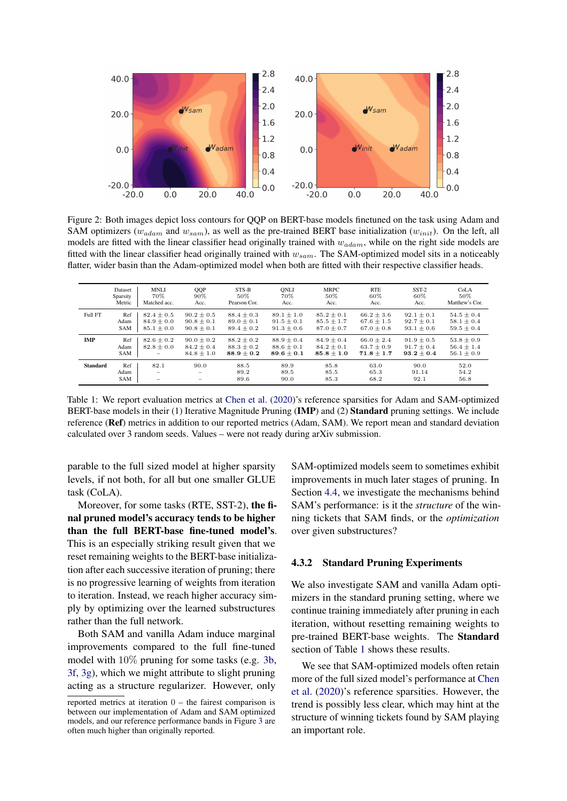<span id="page-5-0"></span>

Figure 2: Both images depict loss contours for QQP on BERT-base models finetuned on the task using Adam and SAM optimizers ( $w_{adam}$  and  $w_{sam}$ ), as well as the pre-trained BERT base initialization ( $w_{init}$ ). On the left, all models are fitted with the linear classifier head originally trained with  $w_{adam}$ , while on the right side models are fitted with the linear classifier head originally trained with  $w_{sam}$ . The SAM-optimized model sits in a noticeably flatter, wider basin than the Adam-optimized model when both are fitted with their respective classifier heads.

<span id="page-5-1"></span>

|                 | Dataset    | <b>MNLI</b>              | QQP            | STS-B          | ONLI           | <b>MRPC</b>    | <b>RTE</b>     | $SST-2$        | CoLA           |
|-----------------|------------|--------------------------|----------------|----------------|----------------|----------------|----------------|----------------|----------------|
|                 | Sparsity   | 70%                      | 90%            | 50%            | 70%            | 50%            | 60%            | 60%            | 50%            |
|                 | Metric     | Matched acc.             | Acc.           | Pearson Cor.   | Acc.           | Acc.           | Acc.           | Acc.           | Matthew's Cor. |
| Full FT         | Ref        | $82.4 \pm 0.5$           | $90.2 \pm 0.5$ | $88.4 \pm 0.3$ | $89.1 \pm 1.0$ | $85.2 \pm 0.1$ | $66.2 \pm 3.6$ | $92.1 \pm 0.1$ | $54.5 \pm 0.4$ |
|                 | Adam       | $84.9 \pm 0.0$           | $90.8 \pm 0.1$ | $89.0 \pm 0.1$ | $91.5 \pm 0.1$ | $85.5 \pm 1.7$ | $67.6 \pm 1.5$ | $92.7 \pm 0.1$ | $58.1 \pm 0.4$ |
|                 | <b>SAM</b> | $85.1 \pm 0.0$           | $90.8 \pm 0.1$ | $89.4 \pm 0.2$ | $91.3 + 0.6$   | $87.0 \pm 0.7$ | $67.0 + 0.8$   | $93.1 + 0.6$   | $59.5 \pm 0.4$ |
| <b>IMP</b>      | Ref        | $82.6 \pm 0.2$           | $90.0 \pm 0.2$ | $88.2 \pm 0.2$ | $88.9 \pm 0.4$ | $84.9 \pm 0.4$ | $66.0 \pm 2.4$ | $91.9 \pm 0.5$ | $53.8 \pm 0.9$ |
|                 | Adam       | $82.8 \pm 0.0$           | $84.2 \pm 0.4$ | $88.3 \pm 0.2$ | $88.6 \pm 0.1$ | $84.2 \pm 0.1$ | $63.7 \pm 0.9$ | $91.7 \pm 0.4$ | $56.4 \pm 1.4$ |
|                 | SAM        | $\overline{\phantom{0}}$ | $84.8 \pm 1.0$ | $88.9 \pm 0.2$ | $89.6 \pm 0.1$ | $85.8 \pm 1.0$ | $71.8 \pm 1.7$ | $93.2 + 0.4$   | $56.1 \pm 0.9$ |
| <b>Standard</b> | Ref        | 82.1                     | 90.0           | 88.5           | 89.9           | 85.8           | 63.0           | 90.0           | 52.0           |
|                 | Adam       | -                        | -              | 89.2           | 89.5           | 85.5           | 65.3           | 91.14          | 54.2           |
|                 | <b>SAM</b> | $\qquad \qquad -$        | -              | 89.6           | 90.0           | 85.3           | 68.2           | 92.1           | 56.8           |

Table 1: We report evaluation metrics at [Chen et al.](#page-8-2) [\(2020\)](#page-8-2)'s reference sparsities for Adam and SAM-optimized BERT-base models in their (1) Iterative Magnitude Pruning (IMP) and (2) Standard pruning settings. We include reference (Ref) metrics in addition to our reported metrics (Adam, SAM). We report mean and standard deviation calculated over 3 random seeds. Values – were not ready during arXiv submission.

parable to the full sized model at higher sparsity levels, if not both, for all but one smaller GLUE task (CoLA).

Moreover, for some tasks (RTE, SST-2), the final pruned model's accuracy tends to be higher than the full BERT-base fine-tuned model's. This is an especially striking result given that we reset remaining weights to the BERT-base initialization after each successive iteration of pruning; there is no progressive learning of weights from iteration to iteration. Instead, we reach higher accuracy simply by optimizing over the learned substructures rather than the full network.

Both SAM and vanilla Adam induce marginal improvements compared to the full fine-tuned model with 10% pruning for some tasks (e.g. [3b,](#page-6-0) [3f,](#page-6-0) [3g\)](#page-6-0), which we might attribute to slight pruning acting as a structure regularizer. However, only SAM-optimized models seem to sometimes exhibit improvements in much later stages of pruning. In Section [4.4,](#page-6-1) we investigate the mechanisms behind SAM's performance: is it the *structure* of the winning tickets that SAM finds, or the *optimization* over given substructures?

#### 4.3.2 Standard Pruning Experiments

We also investigate SAM and vanilla Adam optimizers in the standard pruning setting, where we continue training immediately after pruning in each iteration, without resetting remaining weights to pre-trained BERT-base weights. The Standard section of Table [1](#page-5-1) shows these results.

We see that SAM-optimized models often retain more of the full sized model's performance at [Chen](#page-8-2) [et al.](#page-8-2) [\(2020\)](#page-8-2)'s reference sparsities. However, the trend is possibly less clear, which may hint at the structure of winning tickets found by SAM playing an important role.

reported metrics at iteration 0 – the fairest comparison is between our implementation of Adam and SAM optimized models, and our reference performance bands in Figure [3](#page-6-0) are often much higher than originally reported.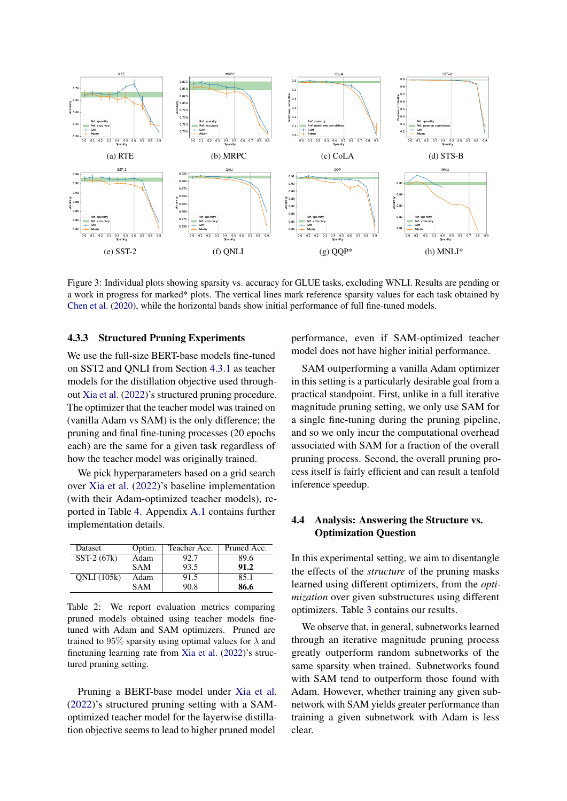<span id="page-6-0"></span>

Figure 3: Individual plots showing sparsity vs. accuracy for GLUE tasks, excluding WNLI. Results are pending or a work in progress for marked\* plots. The vertical lines mark reference sparsity values for each task obtained by [Chen et al.](#page-8-2) [\(2020\)](#page-8-2), while the horizontal bands show initial performance of full fine-tuned models.

### 4.3.3 Structured Pruning Experiments

We use the full-size BERT-base models fine-tuned on SST2 and QNLI from Section [4.3.1](#page-4-3) as teacher models for the distillation objective used throughout [Xia et al.](#page-10-3) [\(2022\)](#page-10-3)'s structured pruning procedure. The optimizer that the teacher model was trained on (vanilla Adam vs SAM) is the only difference; the pruning and final fine-tuning processes (20 epochs each) are the same for a given task regardless of how the teacher model was originally trained.

We pick hyperparameters based on a grid search over [Xia et al.](#page-10-3) [\(2022\)](#page-10-3)'s baseline implementation (with their Adam-optimized teacher models), reported in Table [4.](#page-10-15) Appendix [A.1](#page-10-16) contains further implementation details.

| Dataset            | Optim.     | Teacher Acc. | Pruned Acc. |
|--------------------|------------|--------------|-------------|
| $SST-2(67k)$       | Adam       | 92.7         | 89.6        |
|                    | <b>SAM</b> | 93.5         | 91.2        |
| <b>ONLI</b> (105k) | Adam       | 91.5         | 85.1        |
|                    | <b>SAM</b> | 90.8         | 86.6        |

Table 2: We report evaluation metrics comparing pruned models obtained using teacher models finetuned with Adam and SAM optimizers. Pruned are trained to 95% sparsity using optimal values for  $\lambda$  and finetuning learning rate from [Xia et al.](#page-10-3) [\(2022\)](#page-10-3)'s structured pruning setting.

Pruning a BERT-base model under [Xia et al.](#page-10-3) [\(2022\)](#page-10-3)'s structured pruning setting with a SAMoptimized teacher model for the layerwise distillation objective seems to lead to higher pruned model

performance, even if SAM-optimized teacher model does not have higher initial performance.

SAM outperforming a vanilla Adam optimizer in this setting is a particularly desirable goal from a practical standpoint. First, unlike in a full iterative magnitude pruning setting, we only use SAM for a single fine-tuning during the pruning pipeline, and so we only incur the computational overhead associated with SAM for a fraction of the overall pruning process. Second, the overall pruning process itself is fairly efficient and can result a tenfold inference speedup.

# <span id="page-6-1"></span>4.4 Analysis: Answering the Structure vs. Optimization Question

In this experimental setting, we aim to disentangle the effects of the *structure* of the pruning masks learned using different optimizers, from the *optimization* over given substructures using different optimizers. Table [3](#page-7-0) contains our results.

We observe that, in general, subnetworks learned through an iterative magnitude pruning process greatly outperform random subnetworks of the same sparsity when trained. Subnetworks found with SAM tend to outperform those found with Adam. However, whether training any given subnetwork with SAM yields greater performance than training a given subnetwork with Adam is less clear.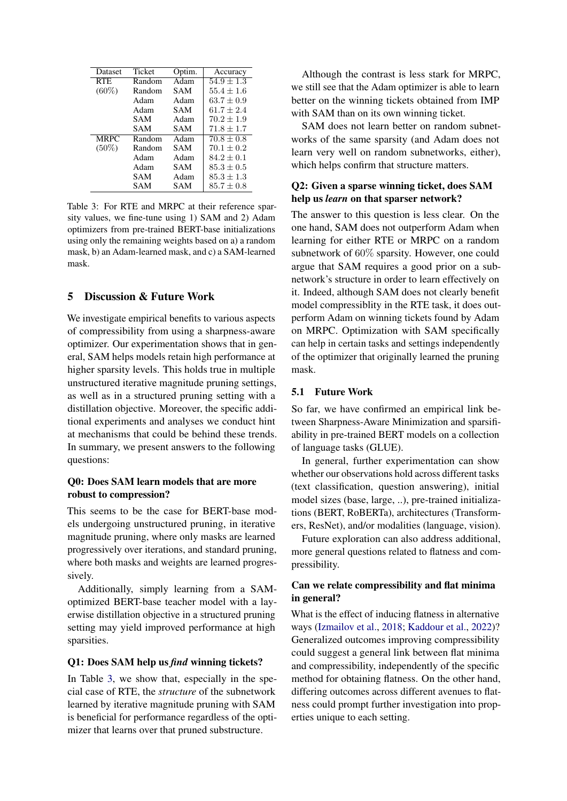<span id="page-7-0"></span>

| Dataset     | Ticket | Optim. | Accuracy       |
|-------------|--------|--------|----------------|
| RTE.        | Random | Adam   | $54.9 + 1.3$   |
| $(60\%)$    | Random | SAM    | $55.4 + 1.6$   |
|             | Adam   | Adam   | $63.7 + 0.9$   |
|             | Adam   | SAM    | $61.7 + 2.4$   |
|             | SAM    | Adam   | $70.2 + 1.9$   |
|             | SAM    | SAM    | $71.8 + 1.7$   |
| <b>MRPC</b> | Random | Adam   | $70.8 + 0.8$   |
| $(50\%)$    | Random | SAM    | $70.1 \pm 0.2$ |
|             | Adam   | Adam   | $84.2 + 0.1$   |
|             | Adam   | SAM    | $85.3 + 0.5$   |
|             | SAM    | Adam   | $85.3 + 1.3$   |
|             | SAM    | SAM    | $85.7 \pm 0.8$ |

Table 3: For RTE and MRPC at their reference sparsity values, we fine-tune using 1) SAM and 2) Adam optimizers from pre-trained BERT-base initializations using only the remaining weights based on a) a random mask, b) an Adam-learned mask, and c) a SAM-learned mask.

# 5 Discussion & Future Work

We investigate empirical benefits to various aspects of compressibility from using a sharpness-aware optimizer. Our experimentation shows that in general, SAM helps models retain high performance at higher sparsity levels. This holds true in multiple unstructured iterative magnitude pruning settings, as well as in a structured pruning setting with a distillation objective. Moreover, the specific additional experiments and analyses we conduct hint at mechanisms that could be behind these trends. In summary, we present answers to the following questions:

# Q0: Does SAM learn models that are more robust to compression?

This seems to be the case for BERT-base models undergoing unstructured pruning, in iterative magnitude pruning, where only masks are learned progressively over iterations, and standard pruning, where both masks and weights are learned progressively.

Additionally, simply learning from a SAMoptimized BERT-base teacher model with a layerwise distillation objective in a structured pruning setting may yield improved performance at high sparsities.

### Q1: Does SAM help us *find* winning tickets?

In Table [3,](#page-7-0) we show that, especially in the special case of RTE, the *structure* of the subnetwork learned by iterative magnitude pruning with SAM is beneficial for performance regardless of the optimizer that learns over that pruned substructure.

Although the contrast is less stark for MRPC, we still see that the Adam optimizer is able to learn better on the winning tickets obtained from IMP with SAM than on its own winning ticket.

SAM does not learn better on random subnetworks of the same sparsity (and Adam does not learn very well on random subnetworks, either), which helps confirm that structure matters.

# Q2: Given a sparse winning ticket, does SAM help us *learn* on that sparser network?

The answer to this question is less clear. On the one hand, SAM does not outperform Adam when learning for either RTE or MRPC on a random subnetwork of 60% sparsity. However, one could argue that SAM requires a good prior on a subnetwork's structure in order to learn effectively on it. Indeed, although SAM does not clearly benefit model compressiblity in the RTE task, it does outperform Adam on winning tickets found by Adam on MRPC. Optimization with SAM specifically can help in certain tasks and settings independently of the optimizer that originally learned the pruning mask.

#### 5.1 Future Work

So far, we have confirmed an empirical link between Sharpness-Aware Minimization and sparsifiability in pre-trained BERT models on a collection of language tasks (GLUE).

In general, further experimentation can show whether our observations hold across different tasks (text classification, question answering), initial model sizes (base, large, ..), pre-trained initializations (BERT, RoBERTa), architectures (Transformers, ResNet), and/or modalities (language, vision).

Future exploration can also address additional, more general questions related to flatness and compressibility.

# Can we relate compressibility and flat minima in general?

What is the effect of inducing flatness in alternative ways [\(Izmailov et al.,](#page-9-18) [2018;](#page-9-18) [Kaddour et al.,](#page-9-22) [2022\)](#page-9-22)? Generalized outcomes improving compressibility could suggest a general link between flat minima and compressibility, independently of the specific method for obtaining flatness. On the other hand, differing outcomes across different avenues to flatness could prompt further investigation into properties unique to each setting.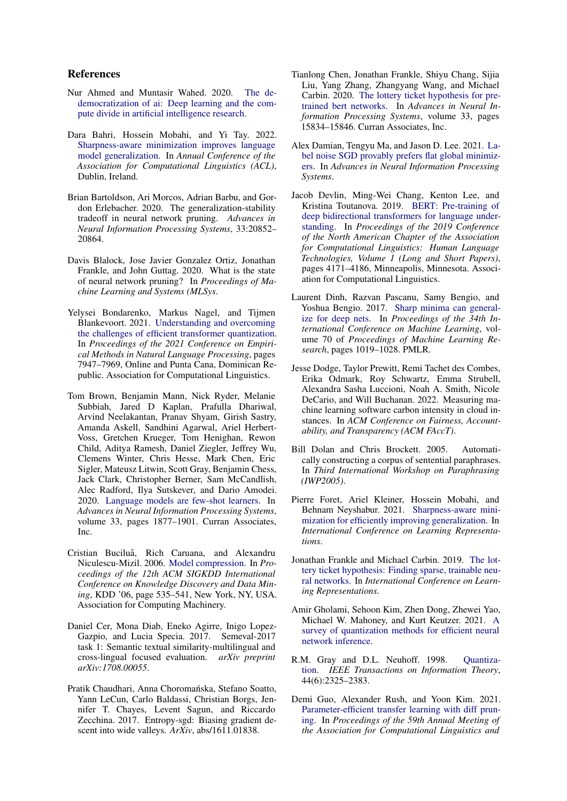# References

- <span id="page-8-3"></span>Nur Ahmed and Muntasir Wahed. 2020. [The de](https://doi.org/10.48550/ARXIV.2010.15581)[democratization of ai: Deep learning and the com](https://doi.org/10.48550/ARXIV.2010.15581)[pute divide in artificial intelligence research.](https://doi.org/10.48550/ARXIV.2010.15581)
- <span id="page-8-16"></span>Dara Bahri, Hossein Mobahi, and Yi Tay. 2022. [Sharpness-aware minimization improves language](https://arxiv.org/abs/2110.08529) [model generalization.](https://arxiv.org/abs/2110.08529) In *Annual Conference of the Association for Computational Linguistics (ACL)*, Dublin, Ireland.
- <span id="page-8-7"></span>Brian Bartoldson, Ari Morcos, Adrian Barbu, and Gordon Erlebacher. 2020. The generalization-stability tradeoff in neural network pruning. *Advances in Neural Information Processing Systems*, 33:20852– 20864.
- <span id="page-8-9"></span>Davis Blalock, Jose Javier Gonzalez Ortiz, Jonathan Frankle, and John Guttag. 2020. What is the state of neural network pruning? In *Proceedings of Machine Learning and Systems (MLSys*.
- <span id="page-8-12"></span>Yelysei Bondarenko, Markus Nagel, and Tijmen Blankevoort. 2021. [Understanding and overcoming](https://doi.org/10.18653/v1/2021.emnlp-main.627) [the challenges of efficient transformer quantization.](https://doi.org/10.18653/v1/2021.emnlp-main.627) In *Proceedings of the 2021 Conference on Empirical Methods in Natural Language Processing*, pages 7947–7969, Online and Punta Cana, Dominican Republic. Association for Computational Linguistics.
- <span id="page-8-1"></span>Tom Brown, Benjamin Mann, Nick Ryder, Melanie Subbiah, Jared D Kaplan, Prafulla Dhariwal, Arvind Neelakantan, Pranav Shyam, Girish Sastry, Amanda Askell, Sandhini Agarwal, Ariel Herbert-Voss, Gretchen Krueger, Tom Henighan, Rewon Child, Aditya Ramesh, Daniel Ziegler, Jeffrey Wu, Clemens Winter, Chris Hesse, Mark Chen, Eric Sigler, Mateusz Litwin, Scott Gray, Benjamin Chess, Jack Clark, Christopher Berner, Sam McCandlish, Alec Radford, Ilya Sutskever, and Dario Amodei. 2020. [Language models are few-shot learners.](https://proceedings.neurips.cc/paper/2020/file/1457c0d6bfcb4967418bfb8ac142f64a-Paper.pdf) In *Advances in Neural Information Processing Systems*, volume 33, pages 1877–1901. Curran Associates, Inc.
- <span id="page-8-5"></span>Cristian Buciluă, Rich Caruana, and Alexandru Niculescu-Mizil. 2006. [Model compression.](https://doi.org/10.1145/1150402.1150464) In *Proceedings of the 12th ACM SIGKDD International Conference on Knowledge Discovery and Data Mining*, KDD '06, page 535–541, New York, NY, USA. Association for Computing Machinery.
- <span id="page-8-18"></span>Daniel Cer, Mona Diab, Eneko Agirre, Inigo Lopez-Gazpio, and Lucia Specia. 2017. Semeval-2017 task 1: Semantic textual similarity-multilingual and cross-lingual focused evaluation. *arXiv preprint arXiv:1708.00055*.
- <span id="page-8-14"></span>Pratik Chaudhari, Anna Choromańska, Stefano Soatto, Yann LeCun, Carlo Baldassi, Christian Borgs, Jennifer T. Chayes, Levent Sagun, and Riccardo Zecchina. 2017. Entropy-sgd: Biasing gradient descent into wide valleys. *ArXiv*, abs/1611.01838.
- <span id="page-8-2"></span>Tianlong Chen, Jonathan Frankle, Shiyu Chang, Sijia Liu, Yang Zhang, Zhangyang Wang, and Michael Carbin. 2020. [The lottery ticket hypothesis for pre](https://proceedings.neurips.cc/paper/2020/file/b6af2c9703f203a2794be03d443af2e3-Paper.pdf)[trained bert networks.](https://proceedings.neurips.cc/paper/2020/file/b6af2c9703f203a2794be03d443af2e3-Paper.pdf) In *Advances in Neural Information Processing Systems*, volume 33, pages 15834–15846. Curran Associates, Inc.
- <span id="page-8-17"></span>Alex Damian, Tengyu Ma, and Jason D. Lee. 2021. [La](https://openreview.net/forum?id=x2TMPhseWAW)[bel noise SGD provably prefers flat global minimiz](https://openreview.net/forum?id=x2TMPhseWAW)[ers.](https://openreview.net/forum?id=x2TMPhseWAW) In *Advances in Neural Information Processing Systems*.
- <span id="page-8-0"></span>Jacob Devlin, Ming-Wei Chang, Kenton Lee, and Kristina Toutanova. 2019. [BERT: Pre-training of](https://doi.org/10.18653/v1/N19-1423) [deep bidirectional transformers for language under](https://doi.org/10.18653/v1/N19-1423)[standing.](https://doi.org/10.18653/v1/N19-1423) In *Proceedings of the 2019 Conference of the North American Chapter of the Association for Computational Linguistics: Human Language Technologies, Volume 1 (Long and Short Papers)*, pages 4171–4186, Minneapolis, Minnesota. Association for Computational Linguistics.
- <span id="page-8-15"></span>Laurent Dinh, Razvan Pascanu, Samy Bengio, and Yoshua Bengio. 2017. [Sharp minima can general](https://proceedings.mlr.press/v70/dinh17b.html)[ize for deep nets.](https://proceedings.mlr.press/v70/dinh17b.html) In *Proceedings of the 34th International Conference on Machine Learning*, volume 70 of *Proceedings of Machine Learning Research*, pages 1019–1028. PMLR.
- <span id="page-8-4"></span>Jesse Dodge, Taylor Prewitt, Remi Tachet des Combes, Erika Odmark, Roy Schwartz, Emma Strubell, Alexandra Sasha Luccioni, Noah A. Smith, Nicole DeCario, and Will Buchanan. 2022. Measuring machine learning software carbon intensity in cloud instances. In *ACM Conference on Fairness, Accountability, and Transparency (ACM FAccT)*.
- <span id="page-8-19"></span>Bill Dolan and Chris Brockett. 2005. Automatically constructing a corpus of sentential paraphrases. In *Third International Workshop on Paraphrasing (IWP2005)*.
- <span id="page-8-8"></span>Pierre Foret, Ariel Kleiner, Hossein Mobahi, and Behnam Neyshabur. 2021. [Sharpness-aware mini](https://openreview.net/forum?id=6Tm1mposlrM)[mization for efficiently improving generalization.](https://openreview.net/forum?id=6Tm1mposlrM) In *International Conference on Learning Representations*.
- <span id="page-8-6"></span>Jonathan Frankle and Michael Carbin. 2019. [The lot](https://openreview.net/forum?id=rJl-b3RcF7)[tery ticket hypothesis: Finding sparse, trainable neu](https://openreview.net/forum?id=rJl-b3RcF7)[ral networks.](https://openreview.net/forum?id=rJl-b3RcF7) In *International Conference on Learning Representations*.
- <span id="page-8-11"></span>Amir Gholami, Sehoon Kim, Zhen Dong, Zhewei Yao, Michael W. Mahoney, and Kurt Keutzer. 2021. [A](http://arxiv.org/abs/2103.13630) [survey of quantization methods for efficient neural](http://arxiv.org/abs/2103.13630) [network inference.](http://arxiv.org/abs/2103.13630)
- <span id="page-8-10"></span>R.M. Gray and D.L. Neuhoff. 1998. [Quantiza](https://doi.org/10.1109/18.720541)[tion.](https://doi.org/10.1109/18.720541) *IEEE Transactions on Information Theory*, 44(6):2325–2383.
- <span id="page-8-13"></span>Demi Guo, Alexander Rush, and Yoon Kim. 2021. [Parameter-efficient transfer learning with diff prun](https://doi.org/10.18653/v1/2021.acl-long.378)[ing.](https://doi.org/10.18653/v1/2021.acl-long.378) In *Proceedings of the 59th Annual Meeting of the Association for Computational Linguistics and*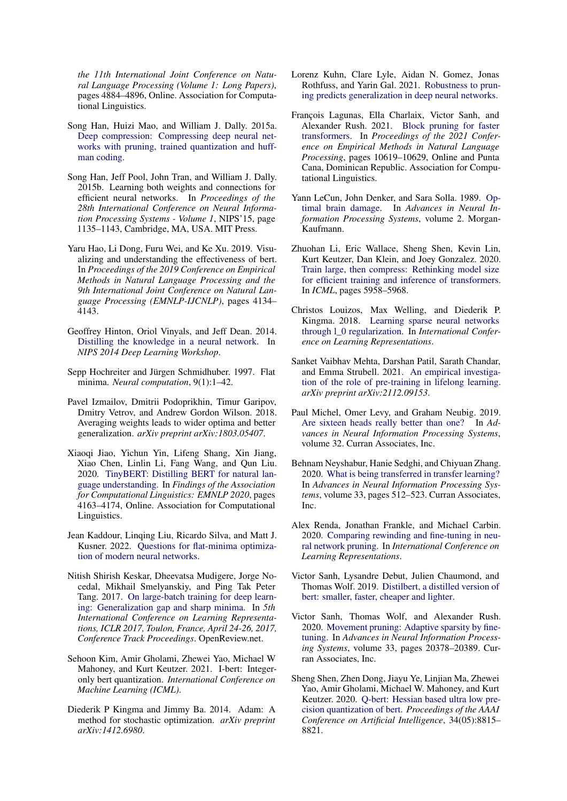*the 11th International Joint Conference on Natural Language Processing (Volume 1: Long Papers)*, pages 4884–4896, Online. Association for Computational Linguistics.

- <span id="page-9-20"></span>Song Han, Huizi Mao, and William J. Dally. 2015a. [Deep compression: Compressing deep neural net](https://doi.org/10.48550/ARXIV.1510.00149)[works with pruning, trained quantization and huff](https://doi.org/10.48550/ARXIV.1510.00149)[man coding.](https://doi.org/10.48550/ARXIV.1510.00149)
- <span id="page-9-5"></span>Song Han, Jeff Pool, John Tran, and William J. Dally. 2015b. Learning both weights and connections for efficient neural networks. In *Proceedings of the 28th International Conference on Neural Information Processing Systems - Volume 1*, NIPS'15, page 1135–1143, Cambridge, MA, USA. MIT Press.
- <span id="page-9-9"></span>Yaru Hao, Li Dong, Furu Wei, and Ke Xu. 2019. Visualizing and understanding the effectiveness of bert. In *Proceedings of the 2019 Conference on Empirical Methods in Natural Language Processing and the 9th International Joint Conference on Natural Language Processing (EMNLP-IJCNLP)*, pages 4134– 4143.
- <span id="page-9-0"></span>Geoffrey Hinton, Oriol Vinyals, and Jeff Dean. 2014. [Distilling the knowledge in a neural network.](https://arxiv.org/abs/1503.02531) In *NIPS 2014 Deep Learning Workshop*.
- <span id="page-9-7"></span>Sepp Hochreiter and Jürgen Schmidhuber. 1997. Flat minima. *Neural computation*, 9(1):1–42.
- <span id="page-9-18"></span>Pavel Izmailov, Dmitrii Podoprikhin, Timur Garipov, Dmitry Vetrov, and Andrew Gordon Wilson. 2018. Averaging weights leads to wider optima and better generalization. *arXiv preprint arXiv:1803.05407*.
- <span id="page-9-1"></span>Xiaoqi Jiao, Yichun Yin, Lifeng Shang, Xin Jiang, Xiao Chen, Linlin Li, Fang Wang, and Qun Liu. 2020. [TinyBERT: Distilling BERT for natural lan](https://doi.org/10.18653/v1/2020.findings-emnlp.372)[guage understanding.](https://doi.org/10.18653/v1/2020.findings-emnlp.372) In *Findings of the Association for Computational Linguistics: EMNLP 2020*, pages 4163–4174, Online. Association for Computational Linguistics.
- <span id="page-9-22"></span>Jean Kaddour, Linqing Liu, Ricardo Silva, and Matt J. Kusner. 2022. [Questions for flat-minima optimiza](https://doi.org/10.48550/ARXIV.2202.00661)[tion of modern neural networks.](https://doi.org/10.48550/ARXIV.2202.00661)
- <span id="page-9-8"></span>Nitish Shirish Keskar, Dheevatsa Mudigere, Jorge Nocedal, Mikhail Smelyanskiy, and Ping Tak Peter Tang. 2017. [On large-batch training for deep learn](https://openreview.net/forum?id=H1oyRlYgg)[ing: Generalization gap and sharp minima.](https://openreview.net/forum?id=H1oyRlYgg) In *5th International Conference on Learning Representations, ICLR 2017, Toulon, France, April 24-26, 2017, Conference Track Proceedings*. OpenReview.net.
- <span id="page-9-16"></span>Sehoon Kim, Amir Gholami, Zhewei Yao, Michael W Mahoney, and Kurt Keutzer. 2021. I-bert: Integeronly bert quantization. *International Conference on Machine Learning (ICML)*.
- <span id="page-9-21"></span>Diederik P Kingma and Jimmy Ba. 2014. Adam: A method for stochastic optimization. *arXiv preprint arXiv:1412.6980*.
- <span id="page-9-13"></span>Lorenz Kuhn, Clare Lyle, Aidan N. Gomez, Jonas Rothfuss, and Yarin Gal. 2021. [Robustness to prun](https://doi.org/10.48550/ARXIV.2103.06002)[ing predicts generalization in deep neural networks.](https://doi.org/10.48550/ARXIV.2103.06002)
- <span id="page-9-4"></span>François Lagunas, Ella Charlaix, Victor Sanh, and Alexander Rush. 2021. [Block pruning for faster](https://doi.org/10.18653/v1/2021.emnlp-main.829) [transformers.](https://doi.org/10.18653/v1/2021.emnlp-main.829) In *Proceedings of the 2021 Conference on Empirical Methods in Natural Language Processing*, pages 10619–10629, Online and Punta Cana, Dominican Republic. Association for Computational Linguistics.
- <span id="page-9-3"></span>Yann LeCun, John Denker, and Sara Solla. 1989. [Op](https://proceedings.neurips.cc/paper/1989/file/6c9882bbac1c7093bd25041881277658-Paper.pdf)[timal brain damage.](https://proceedings.neurips.cc/paper/1989/file/6c9882bbac1c7093bd25041881277658-Paper.pdf) In *Advances in Neural Information Processing Systems*, volume 2. Morgan-Kaufmann.
- <span id="page-9-12"></span>Zhuohan Li, Eric Wallace, Sheng Shen, Kevin Lin, Kurt Keutzer, Dan Klein, and Joey Gonzalez. 2020. [Train large, then compress: Rethinking model size](http://proceedings.mlr.press/v119/li20m.html) [for efficient training and inference of transformers.](http://proceedings.mlr.press/v119/li20m.html) In *ICML*, pages 5958–5968.
- <span id="page-9-14"></span>Christos Louizos, Max Welling, and Diederik P. Kingma. 2018. [Learning sparse neural networks](https://openreview.net/forum?id=H1Y8hhg0b) [through l\\_0 regularization.](https://openreview.net/forum?id=H1Y8hhg0b) In *International Conference on Learning Representations*.
- <span id="page-9-11"></span>Sanket Vaibhav Mehta, Darshan Patil, Sarath Chandar, and Emma Strubell. 2021. [An empirical investiga](https://arxiv.org/abs/2112.09153)[tion of the role of pre-training in lifelong learning.](https://arxiv.org/abs/2112.09153) *arXiv preprint arXiv:2112.09153*.
- <span id="page-9-17"></span>Paul Michel, Omer Levy, and Graham Neubig. 2019. [Are sixteen heads really better than one?](https://proceedings.neurips.cc/paper/2019/file/2c601ad9d2ff9bc8b282670cdd54f69f-Paper.pdf) In *Advances in Neural Information Processing Systems*, volume 32. Curran Associates, Inc.
- <span id="page-9-10"></span>Behnam Neyshabur, Hanie Sedghi, and Chiyuan Zhang. 2020. [What is being transferred in transfer learning?](https://proceedings.neurips.cc/paper/2020/file/0607f4c705595b911a4f3e7a127b44e0-Paper.pdf) In *Advances in Neural Information Processing Systems*, volume 33, pages 512–523. Curran Associates, Inc.
- <span id="page-9-19"></span>Alex Renda, Jonathan Frankle, and Michael Carbin. 2020. [Comparing rewinding and fine-tuning in neu](https://openreview.net/forum?id=S1gSj0NKvB)[ral network pruning.](https://openreview.net/forum?id=S1gSj0NKvB) In *International Conference on Learning Representations*.
- <span id="page-9-15"></span>Victor Sanh, Lysandre Debut, Julien Chaumond, and Thomas Wolf. 2019. [Distilbert, a distilled version of](https://doi.org/10.48550/ARXIV.1910.01108) [bert: smaller, faster, cheaper and lighter.](https://doi.org/10.48550/ARXIV.1910.01108)
- <span id="page-9-6"></span>Victor Sanh, Thomas Wolf, and Alexander Rush. 2020. [Movement pruning: Adaptive sparsity by fine](https://proceedings.neurips.cc/paper/2020/file/eae15aabaa768ae4a5993a8a4f4fa6e4-Paper.pdf)[tuning.](https://proceedings.neurips.cc/paper/2020/file/eae15aabaa768ae4a5993a8a4f4fa6e4-Paper.pdf) In *Advances in Neural Information Processing Systems*, volume 33, pages 20378–20389. Curran Associates, Inc.
- <span id="page-9-2"></span>Sheng Shen, Zhen Dong, Jiayu Ye, Linjian Ma, Zhewei Yao, Amir Gholami, Michael W. Mahoney, and Kurt Keutzer. 2020. [Q-bert: Hessian based ultra low pre](https://doi.org/10.1609/aaai.v34i05.6409)[cision quantization of bert.](https://doi.org/10.1609/aaai.v34i05.6409) *Proceedings of the AAAI Conference on Artificial Intelligence*, 34(05):8815– 8821.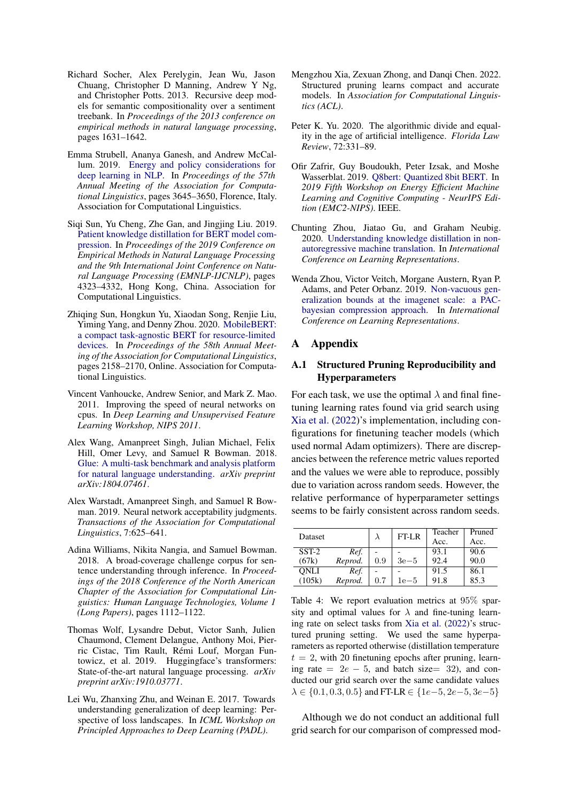- <span id="page-10-12"></span>Richard Socher, Alex Perelygin, Jean Wu, Jason Chuang, Christopher D Manning, Andrew Y Ng, and Christopher Potts. 2013. Recursive deep models for semantic compositionality over a sentiment treebank. In *Proceedings of the 2013 conference on empirical methods in natural language processing*, pages 1631–1642.
- <span id="page-10-1"></span>Emma Strubell, Ananya Ganesh, and Andrew McCallum. 2019. [Energy and policy considerations for](https://doi.org/10.18653/v1/P19-1355) [deep learning in NLP.](https://doi.org/10.18653/v1/P19-1355) In *Proceedings of the 57th Annual Meeting of the Association for Computational Linguistics*, pages 3645–3650, Florence, Italy. Association for Computational Linguistics.
- <span id="page-10-7"></span>Siqi Sun, Yu Cheng, Zhe Gan, and Jingjing Liu. 2019. [Patient knowledge distillation for BERT model com](https://doi.org/10.18653/v1/D19-1441)[pression.](https://doi.org/10.18653/v1/D19-1441) In *Proceedings of the 2019 Conference on Empirical Methods in Natural Language Processing and the 9th International Joint Conference on Natural Language Processing (EMNLP-IJCNLP)*, pages 4323–4332, Hong Kong, China. Association for Computational Linguistics.
- <span id="page-10-8"></span>Zhiqing Sun, Hongkun Yu, Xiaodan Song, Renjie Liu, Yiming Yang, and Denny Zhou. 2020. [MobileBERT:](https://doi.org/10.18653/v1/2020.acl-main.195) [a compact task-agnostic BERT for resource-limited](https://doi.org/10.18653/v1/2020.acl-main.195) [devices.](https://doi.org/10.18653/v1/2020.acl-main.195) In *Proceedings of the 58th Annual Meeting of the Association for Computational Linguistics*, pages 2158–2170, Online. Association for Computational Linguistics.
- <span id="page-10-2"></span>Vincent Vanhoucke, Andrew Senior, and Mark Z. Mao. 2011. Improving the speed of neural networks on cpus. In *Deep Learning and Unsupervised Feature Learning Workshop, NIPS 2011*.
- <span id="page-10-6"></span>Alex Wang, Amanpreet Singh, Julian Michael, Felix Hill, Omer Levy, and Samuel R Bowman. 2018. [Glue: A multi-task benchmark and analysis platform](https://arxiv.org/abs/1804.07461) [for natural language understanding.](https://arxiv.org/abs/1804.07461) *arXiv preprint arXiv:1804.07461*.
- <span id="page-10-13"></span>Alex Warstadt, Amanpreet Singh, and Samuel R Bowman. 2019. Neural network acceptability judgments. *Transactions of the Association for Computational Linguistics*, 7:625–641.
- <span id="page-10-11"></span>Adina Williams, Nikita Nangia, and Samuel Bowman. 2018. A broad-coverage challenge corpus for sentence understanding through inference. In *Proceedings of the 2018 Conference of the North American Chapter of the Association for Computational Linguistics: Human Language Technologies, Volume 1 (Long Papers)*, pages 1112–1122.
- <span id="page-10-14"></span>Thomas Wolf, Lysandre Debut, Victor Sanh, Julien Chaumond, Clement Delangue, Anthony Moi, Pierric Cistac, Tim Rault, Rémi Louf, Morgan Funtowicz, et al. 2019. Huggingface's transformers: State-of-the-art natural language processing. *arXiv preprint arXiv:1910.03771*.
- <span id="page-10-4"></span>Lei Wu, Zhanxing Zhu, and Weinan E. 2017. Towards understanding generalization of deep learning: Perspective of loss landscapes. In *ICML Workshop on Principled Approaches to Deep Learning (PADL)*.
- <span id="page-10-3"></span>Mengzhou Xia, Zexuan Zhong, and Danqi Chen. 2022. Structured pruning learns compact and accurate models. In *Association for Computational Linguistics (ACL)*.
- <span id="page-10-0"></span>Peter K. Yu. 2020. The algorithmic divide and equality in the age of artificial intelligence. *Florida Law Review*, 72:331–89.
- <span id="page-10-9"></span>Ofir Zafrir, Guy Boudoukh, Peter Izsak, and Moshe Wasserblat. 2019. [Q8bert: Quantized 8bit BERT.](https://doi.org/10.1109/emc2-nips53020.2019.00016) In *2019 Fifth Workshop on Energy Efficient Machine Learning and Cognitive Computing - NeurIPS Edition (EMC2-NIPS)*. IEEE.
- <span id="page-10-10"></span>Chunting Zhou, Jiatao Gu, and Graham Neubig. 2020. [Understanding knowledge distillation in non](https://openreview.net/forum?id=BygFVAEKDH)[autoregressive machine translation.](https://openreview.net/forum?id=BygFVAEKDH) In *International Conference on Learning Representations*.
- <span id="page-10-5"></span>Wenda Zhou, Victor Veitch, Morgane Austern, Ryan P. Adams, and Peter Orbanz. 2019. [Non-vacuous gen](https://openreview.net/forum?id=BJgqqsAct7)[eralization bounds at the imagenet scale: a PAC](https://openreview.net/forum?id=BJgqqsAct7)[bayesian compression approach.](https://openreview.net/forum?id=BJgqqsAct7) In *International Conference on Learning Representations*.

#### A Appendix

# <span id="page-10-16"></span>A.1 Structured Pruning Reproducibility and Hyperparameters

For each task, we use the optimal  $\lambda$  and final finetuning learning rates found via grid search using [Xia et al.](#page-10-3) [\(2022\)](#page-10-3)'s implementation, including configurations for finetuning teacher models (which used normal Adam optimizers). There are discrepancies between the reference metric values reported and the values we were able to reproduce, possibly due to variation across random seeds. However, the relative performance of hyperparameter settings seems to be fairly consistent across random seeds.

<span id="page-10-15"></span>

| <b>Dataset</b> |         |         | FT-LR  | Teacher | Pruned |
|----------------|---------|---------|--------|---------|--------|
|                |         |         |        | Acc.    | Acc.   |
| $SST-2$        | Ref.    |         |        | 93.1    | 90.6   |
| (67k)          | Reprod. | 0.9     | $3e-5$ | 92.4    | 90.0   |
| ONLI           | Ref.    |         |        | 91.5    | 86.1   |
| (105k)         | Reprod. | $0.7\,$ | 1e—5   | 91.8    | 85.3   |

Table 4: We report evaluation metrics at 95% sparsity and optimal values for  $\lambda$  and fine-tuning learning rate on select tasks from [Xia et al.](#page-10-3) [\(2022\)](#page-10-3)'s structured pruning setting. We used the same hyperparameters as reported otherwise (distillation temperature  $t = 2$ , with 20 finetuning epochs after pruning, learning rate =  $2e - 5$ , and batch size= 32), and conducted our grid search over the same candidate values  $\lambda \in \{0.1, 0.3, 0.5\}$  and FT-LR  $\in \{1e-5, 2e-5, 3e-5\}$ 

Although we do not conduct an additional full grid search for our comparison of compressed mod